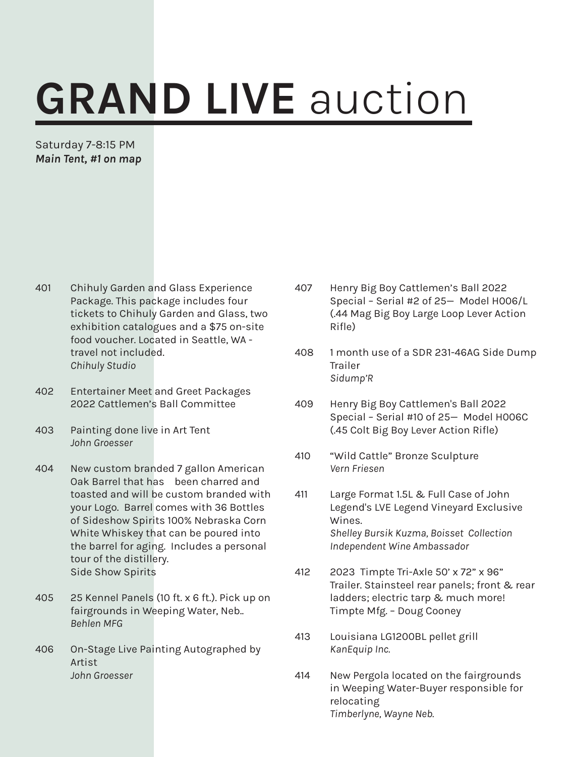## GRAND LIVE auction

Saturday 7-8:15 PM *Main Tent, #1 on map*

- 401 Chihuly Garden and Glass Experience Package. This package includes four tickets to Chihuly Garden and Glass, two exhibition catalogues and a \$75 on-site food voucher. Located in Seattle, WA travel not included. *Chihuly Studio*
- 402 Entertainer Meet and Greet Packages 2022 Cattlemen's Ball Committee
- 403 Painting done live in Art Tent *John Groesser*
- 404 New custom branded 7 gallon American Oak Barrel that has been charred and toasted and will be custom branded with your Logo. Barrel comes with 36 Bottles of Sideshow Spirits 100% Nebraska Corn White Whiskey that can be poured into the barrel for aging. Includes a personal tour of the distillery. Side Show Spirits
- 405 25 Kennel Panels (10 ft. x 6 ft.). Pick up on fairgrounds in Weeping Water, Neb.. *Behlen MFG*
- 406 On-Stage Live Painting Autographed by Artist *John Groesser*
- 407 Henry Big Boy Cattlemen's Ball 2022 Special – Serial #2 of 25— Model H006/L (.44 Mag Big Boy Large Loop Lever Action Rifle)
- 408 1 month use of a SDR 231-46AG Side Dump Trailer *Sidump'R*
- 409 Henry Big Boy Cattlemen's Ball 2022 Special – Serial #10 of 25— Model H006C (.45 Colt Big Boy Lever Action Rifle)
- 410 "Wild Cattle" Bronze Sculpture *Vern Friesen*
- 411 Large Format 1.5L & Full Case of John Legend's LVE Legend Vineyard Exclusive Wines. *Shelley Bursik Kuzma, Boisset Collection Independent Wine Ambassador*
- 412 2023 Timpte Tri-Axle 50' x 72" x 96" Trailer. Stainsteel rear panels; front & rear ladders; electric tarp & much more! Timpte Mfg. – Doug Cooney
- 413 Louisiana LG1200BL pellet grill *KanEquip Inc.*
- 414 New Pergola located on the fairgrounds in Weeping Water-Buyer responsible for relocating *Timberlyne, Wayne Neb.*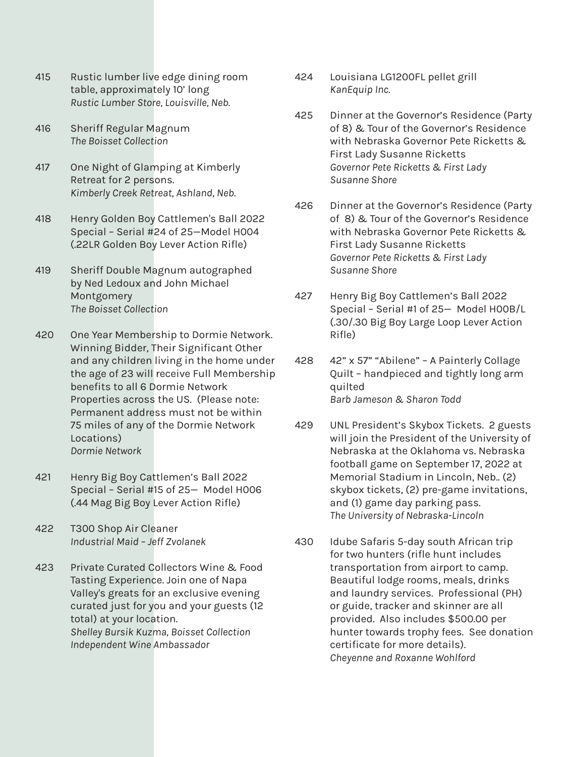- 415 Rustic lumber live edge dining room table, approximately 10' long *Rustic Lumber Store, Louisville, Neb.*
- 416 Sheriff Regular Magnum *The Boisset Collection*
- 417 One Night of Glamping at Kimberly Retreat for 2 persons. *Kimberly Creek Retreat, Ashland, Neb.*
- 418 Henry Golden Boy Cattlemen's Ball 2022 Special – Serial #24 of 25—Model H004 (.22LR Golden Boy Lever Action Rifle)
- 419 Sheriff Double Magnum autographed by Ned Ledoux and John Michael Montgomery *The Boisset Collection*
- 420 One Year Membership to Dormie Network. Winning Bidder, Their Significant Other and any children living in the home under the age of 23 will receive Full Membership benefits to all 6 Dormie Network Properties across the US. (Please note: Permanent address must not be within 75 miles of any of the Dormie Network Locations) *Dormie Network*
- 421 Henry Big Boy Cattlemen's Ball 2022 Special – Serial #15 of 25— Model H006 (.44 Mag Big Boy Lever Action Rifle)
- 422 T300 Shop Air Cleaner *Industrial Maid – Jeff Zvolanek*
- 423 Private Curated Collectors Wine & Food Tasting Experience. Join one of Napa Valley's greats for an exclusive evening curated just for you and your guests (12 total) at your location. *Shelley Bursik Kuzma, Boisset Collection Independent Wine Ambassador*
- 424 Louisiana LG1200FL pellet grill *KanEquip Inc.*
- 425 Dinner at the Governor's Residence (Party of 8) & Tour of the Governor's Residence with Nebraska Governor Pete Ricketts & First Lady Susanne Ricketts *Governor Pete Ricketts & First Lady Susanne Shore*
- 426 Dinner at the Governor's Residence (Party of 8) & Tour of the Governor's Residence with Nebraska Governor Pete Ricketts & First Lady Susanne Ricketts *Governor Pete Ricketts & First Lady Susanne Shore*
- 427 Henry Big Boy Cattlemen's Ball 2022 Special – Serial #1 of 25— Model H00B/L (.30/.30 Big Boy Large Loop Lever Action Rifle)
- 428 42" x 57" "Abilene" A Painterly Collage Quilt – handpieced and tightly long arm quilted *Barb Jameson & Sharon Todd*
- 429 UNL President's Skybox Tickets. 2 guests will join the President of the University of Nebraska at the Oklahoma vs. Nebraska football game on September 17, 2022 at Memorial Stadium in Lincoln, Neb.. (2) skybox tickets, (2) pre-game invitations, and (1) game day parking pass. *The University of Nebraska-Lincoln*
- 430 Idube Safaris 5-day south African trip for two hunters (rifle hunt includes transportation from airport to camp. Beautiful lodge rooms, meals, drinks and laundry services. Professional (PH) or guide, tracker and skinner are all provided. Also includes \$500.00 per hunter towards trophy fees. See donation certificate for more details). *Cheyenne and Roxanne Wohlford*